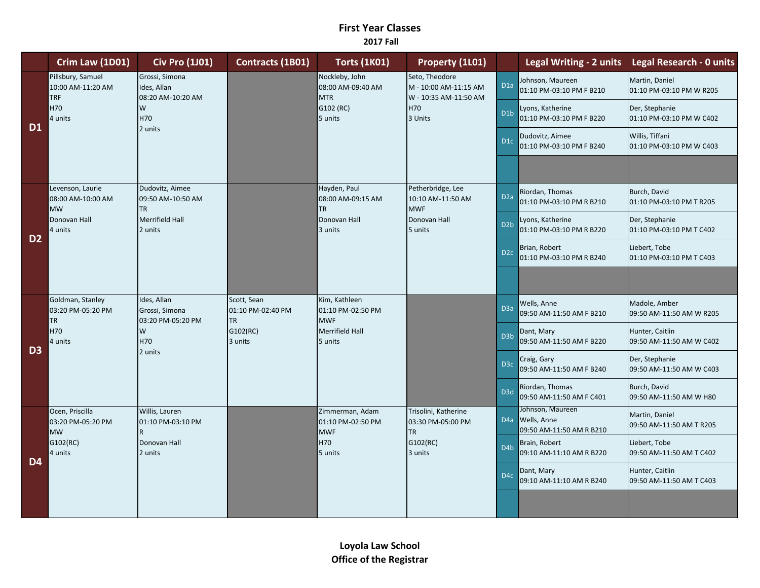## **First Year Classes 2017 Fall**

|                | Crim Law (1D01)                                                          | <b>Civ Pro (1J01)</b>                                                                            | Contracts (1B01)                              | <b>Torts (1K01)</b>                                                       | Property (1L01)                                                                    |                                             | Legal Writing - 2 units                                         | <b>Legal Research - 0 units</b>             |
|----------------|--------------------------------------------------------------------------|--------------------------------------------------------------------------------------------------|-----------------------------------------------|---------------------------------------------------------------------------|------------------------------------------------------------------------------------|---------------------------------------------|-----------------------------------------------------------------|---------------------------------------------|
| D <sub>1</sub> | Pillsbury, Samuel<br>10:00 AM-11:20 AM<br><b>TRF</b><br>H70<br>4 units   | Grossi, Simona<br>Ides, Allan<br>08:20 AM-10:20 AM<br>W<br>H70                                   |                                               | Nockleby, John<br>08:00 AM-09:40 AM<br><b>MTR</b><br>G102 (RC)<br>5 units | Seto, Theodore<br>M - 10:00 AM-11:15 AM<br>W - 10:35 AM-11:50 AM<br>H70<br>3 Units | D <sub>1a</sub>                             | Johnson, Maureen<br>01:10 PM-03:10 PM F B210                    | Martin, Daniel<br>01:10 PM-03:10 PM W R205  |
|                |                                                                          |                                                                                                  |                                               |                                                                           |                                                                                    | D <sub>1</sub> b                            | Lyons, Katherine<br>01:10 PM-03:10 PM F B220                    | Der, Stephanie<br>01:10 PM-03:10 PM W C402  |
|                |                                                                          | 2 units                                                                                          |                                               |                                                                           |                                                                                    | D <sub>1</sub> c                            | Dudovitz, Aimee<br>01:10 PM-03:10 PM F B240                     | Willis, Tiffani<br>01:10 PM-03:10 PM W C403 |
|                |                                                                          |                                                                                                  |                                               |                                                                           |                                                                                    |                                             |                                                                 |                                             |
| D <sub>2</sub> | Levenson, Laurie<br>08:00 AM-10:00 AM<br><b>MW</b>                       | Dudovitz, Aimee<br>09:50 AM-10:50 AM<br><b>TR</b><br>TR<br>Merrifield Hall<br>2 units<br>3 units | Hayden, Paul<br>08:00 AM-09:15 AM             | Petherbridge, Lee<br>10:10 AM-11:50 AM<br><b>MWF</b>                      | D <sub>2a</sub>                                                                    | Riordan, Thomas<br>01:10 PM-03:10 PM R B210 | Burch, David<br>01:10 PM-03:10 PM T R205                        |                                             |
|                | Donovan Hall<br>4 units                                                  |                                                                                                  |                                               | Donovan Hall                                                              | Donovan Hall<br>5 units                                                            | D <sub>2</sub> b                            | Lyons, Katherine<br>01:10 PM-03:10 PM R B220                    | Der, Stephanie<br>01:10 PM-03:10 PM T C402  |
|                |                                                                          |                                                                                                  |                                               |                                                                           |                                                                                    | D <sub>2c</sub>                             | Brian, Robert<br>01:10 PM-03:10 PM R B240                       | Liebert, Tobe<br>01:10 PM-03:10 PM T C403   |
|                |                                                                          |                                                                                                  |                                               |                                                                           |                                                                                    |                                             |                                                                 |                                             |
| D <sub>3</sub> | Goldman, Stanley<br>03:20 PM-05:20 PM<br><b>TR</b>                       | Ides, Allan<br>Grossi, Simona<br>03:20 PM-05:20 PM                                               | Scott, Sean<br>01:10 PM-02:40 PM<br><b>TR</b> | Kim, Kathleen<br>01:10 PM-02:50 PM<br><b>MWF</b>                          |                                                                                    | D <sub>3a</sub>                             | Wells, Anne<br>09:50 AM-11:50 AM F B210                         | Madole, Amber<br>09:50 AM-11:50 AM W R205   |
|                | H70<br>4 units                                                           | W<br>H70<br>2 units                                                                              | G102(RC)<br>3 units                           | <b>Merrifield Hall</b><br>5 units                                         |                                                                                    | D <sub>3</sub> b                            | Dant, Mary<br>09:50 AM-11:50 AM F B220                          | Hunter, Caitlin<br>09:50 AM-11:50 AM W C402 |
|                |                                                                          |                                                                                                  |                                               |                                                                           |                                                                                    | D <sub>3</sub> c                            | Craig, Gary<br>09:50 AM-11:50 AM F B240                         | Der, Stephanie<br>09:50 AM-11:50 AM W C403  |
|                |                                                                          |                                                                                                  |                                               |                                                                           |                                                                                    | D <sub>3d</sub>                             | Riordan, Thomas<br>09:50 AM-11:50 AM F C401                     | Burch, David<br>09:50 AM-11:50 AM W H80     |
| D <sub>4</sub> | Ocen, Priscilla<br>03:20 PM-05:20 PM<br><b>MW</b><br>G102(RC)<br>4 units | Willis, Lauren<br>01:10 PM-03:10 PM<br>Donovan Hall<br>2 units                                   |                                               | Zimmerman, Adam<br>01:10 PM-02:50 PM<br><b>MWF</b><br>H70<br>5 units      | Trisolini, Katherine<br>03:30 PM-05:00 PM<br><b>TR</b><br>G102(RC)<br>3 units      |                                             | Johnson, Maureen<br>D4a Wells, Anne<br>09:50 AM-11:50 AM R B210 | Martin, Daniel<br>09:50 AM-11:50 AM T R205  |
|                |                                                                          |                                                                                                  |                                               |                                                                           |                                                                                    | D <sub>4</sub> b                            | Brain, Robert<br>09:10 AM-11:10 AM R B220                       | Liebert, Tobe<br>09:50 AM-11:50 AM T C402   |
|                |                                                                          |                                                                                                  |                                               |                                                                           |                                                                                    | D <sub>4</sub> c                            | Dant, Mary<br>09:10 AM-11:10 AM R B240                          | Hunter, Caitlin<br>09:50 AM-11:50 AM T C403 |
|                |                                                                          |                                                                                                  |                                               |                                                                           |                                                                                    |                                             |                                                                 |                                             |